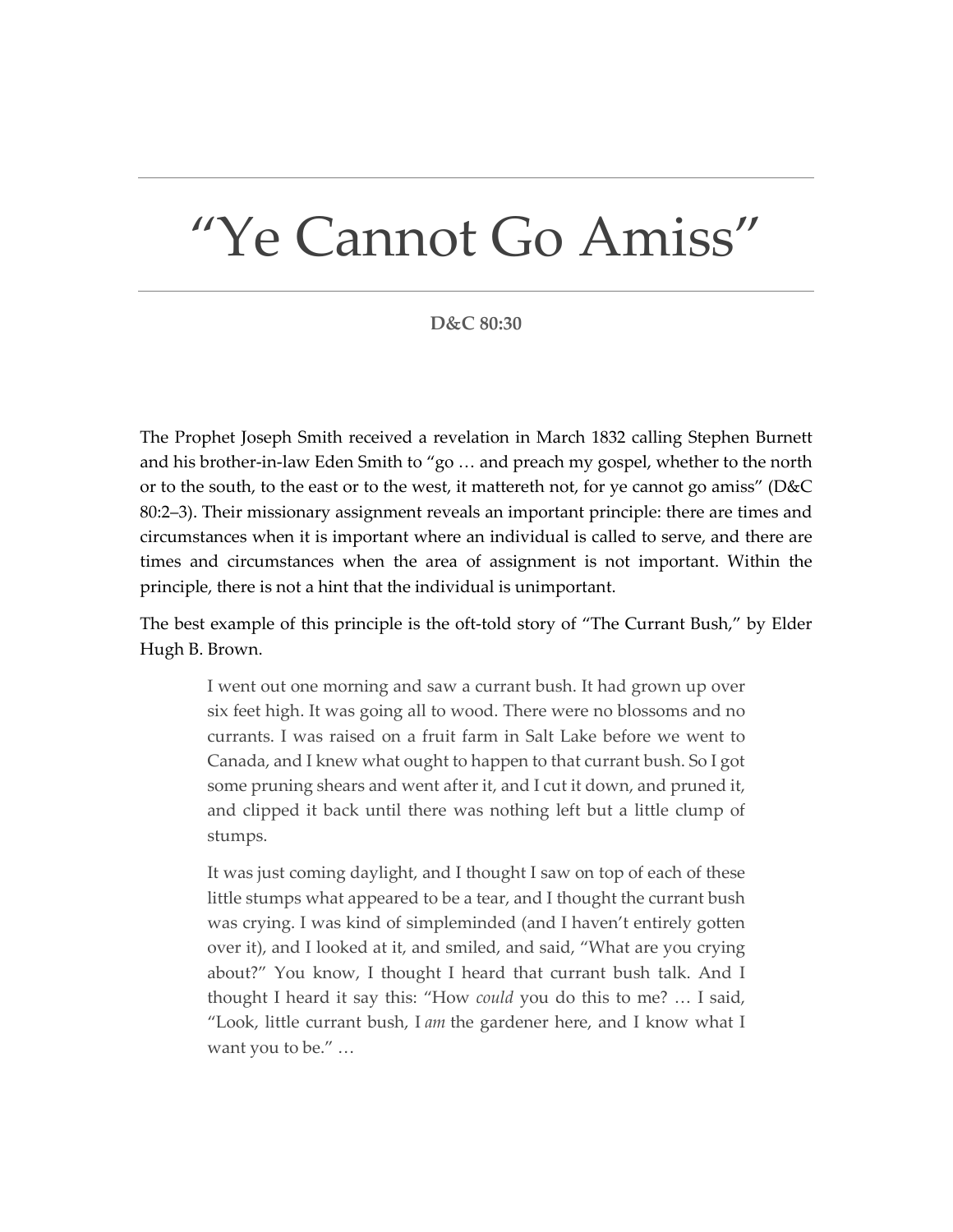## "Ye Cannot Go Amiss"

## **D&C 80:30**

The Prophet Joseph Smith received a revelation in March 1832 calling Stephen Burnett and his brother-in-law Eden Smith to "go … and preach my gospel, whether to the north or to the south, to the east or to the west, it mattereth not, for ye cannot go amiss" (D&C 80:2–3). Their missionary assignment reveals an important principle: there are times and circumstances when it is important where an individual is called to serve, and there are times and circumstances when the area of assignment is not important. Within the principle, there is not a hint that the individual is unimportant.

The best example of this principle is the oft-told story of "The Currant Bush," by Elder Hugh B. Brown.

I went out one morning and saw a currant bush. It had grown up over six feet high. It was going all to wood. There were no blossoms and no currants. I was raised on a fruit farm in Salt Lake before we went to Canada, and I knew what ought to happen to that currant bush. So I got some pruning shears and went after it, and I cut it down, and pruned it, and clipped it back until there was nothing left but a little clump of stumps.

It was just coming daylight, and I thought I saw on top of each of these little stumps what appeared to be a tear, and I thought the currant bush was crying. I was kind of simpleminded (and I haven't entirely gotten over it), and I looked at it, and smiled, and said, "What are you crying about?" You know, I thought I heard that currant bush talk. And I thought I heard it say this: "How *could* you do this to me? … I said, "Look, little currant bush, I *am* the gardener here, and I know what I want you to be." …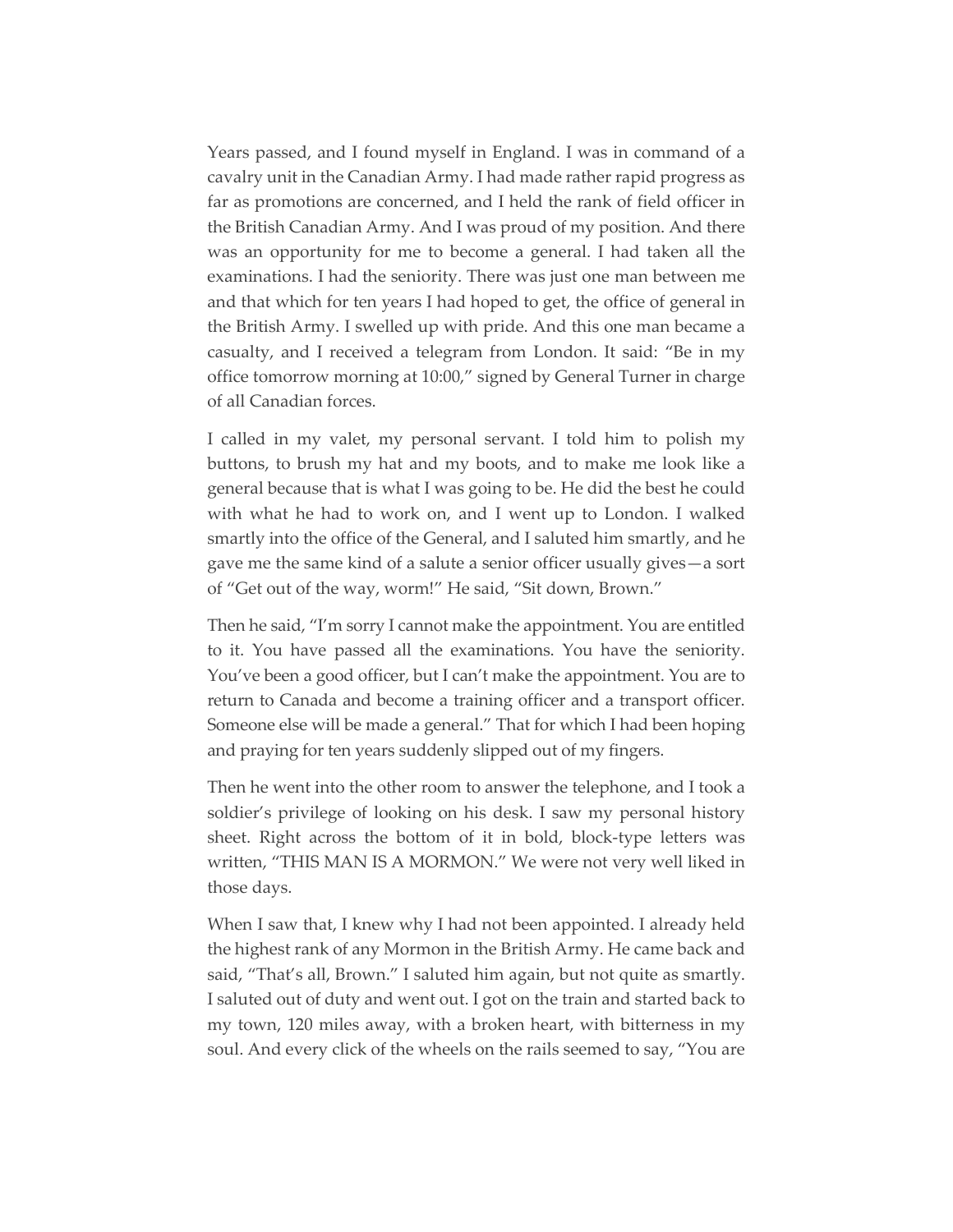Years passed, and I found myself in England. I was in command of a cavalry unit in the Canadian Army. I had made rather rapid progress as far as promotions are concerned, and I held the rank of field officer in the British Canadian Army. And I was proud of my position. And there was an opportunity for me to become a general. I had taken all the examinations. I had the seniority. There was just one man between me and that which for ten years I had hoped to get, the office of general in the British Army. I swelled up with pride. And this one man became a casualty, and I received a telegram from London. It said: "Be in my office tomorrow morning at 10:00," signed by General Turner in charge of all Canadian forces.

I called in my valet, my personal servant. I told him to polish my buttons, to brush my hat and my boots, and to make me look like a general because that is what I was going to be. He did the best he could with what he had to work on, and I went up to London. I walked smartly into the office of the General, and I saluted him smartly, and he gave me the same kind of a salute a senior officer usually gives—a sort of "Get out of the way, worm!" He said, "Sit down, Brown."

Then he said, "I'm sorry I cannot make the appointment. You are entitled to it. You have passed all the examinations. You have the seniority. You've been a good officer, but I can't make the appointment. You are to return to Canada and become a training officer and a transport officer. Someone else will be made a general." That for which I had been hoping and praying for ten years suddenly slipped out of my fingers.

Then he went into the other room to answer the telephone, and I took a soldier's privilege of looking on his desk. I saw my personal history sheet. Right across the bottom of it in bold, block-type letters was written, "THIS MAN IS A MORMON." We were not very well liked in those days.

When I saw that, I knew why I had not been appointed. I already held the highest rank of any Mormon in the British Army. He came back and said, "That's all, Brown." I saluted him again, but not quite as smartly. I saluted out of duty and went out. I got on the train and started back to my town, 120 miles away, with a broken heart, with bitterness in my soul. And every click of the wheels on the rails seemed to say, "You are